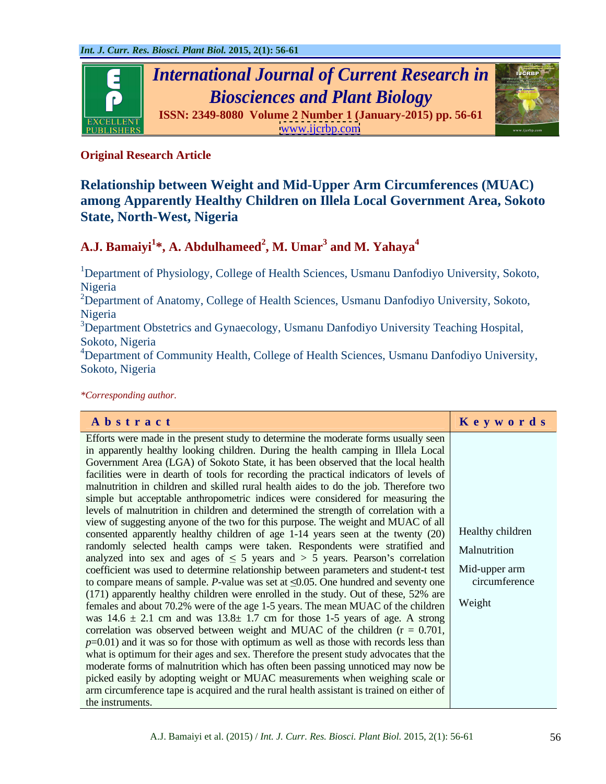

# **Original Research Article**

# **Relationship between Weight and Mid-Upper Arm Circumferences (MUAC) among Apparently Healthy Children on Illela Local Government Area, Sokoto State, North-West, Nigeria**

### **A.J. Bamaiyi<sup>1</sup> \*, A. Abdulhameed<sup>2</sup> , M. Umar<sup>3</sup> and M. Yahaya<sup>4</sup>**

<sup>1</sup>Department of Physiology, College of Health Sciences, Usmanu Danfodiyo University, Sokoto, Nigeria

 $2D$ epartment of Anatomy, College of Health Sciences, Usmanu Danfodiyo University, Sokoto, Nigeria

<sup>3</sup>Department Obstetrics and Gynaecology, Usmanu Danfodiyo University Teaching Hospital, Sokoto, Nigeria

<sup>4</sup>Department of Community Health, College of Health Sciences, Usmanu Danfodiyo University, Sokoto, Nigeria

*\*Corresponding author.*

| Abstract                                                                                             | Keywords      |
|------------------------------------------------------------------------------------------------------|---------------|
| Efforts were made in the present study to determine the moderate forms usually seen                  |               |
| in apparently healthy looking children. During the health camping in Illela Local                    |               |
| Government Area (LGA) of Sokoto State, it has been observed that the local health                    |               |
| facilities were in dearth of tools for recording the practical indicators of levels of               |               |
| malnutrition in children and skilled rural health aides to do the job. Therefore two                 |               |
| simple but acceptable anthropometric indices were considered for measuring the                       |               |
| levels of malnutrition in children and determined the strength of correlation with a                 |               |
| view of suggesting anyone of the two for this purpose. The weight and MUAC of all                    |               |
| consented apparently healthy children of age 1-14 years seen at the twenty $(20)$ Healthy children   |               |
| randomly selected health camps were taken. Respondents were stratified and Malnutrition              |               |
| analyzed into sex and ages of $\leq$ 5 years and $>$ 5 years. Pearson's correlation                  |               |
| coefficient was used to determine relationship between parameters and student-t test   Mid-upper arm |               |
| to compare means of sample. P-value was set at $\leq 0.05$ . One hundred and seventy one             | circumference |
| $(171)$ apparently healthy children were enrolled in the study. Out of these, 52% are                |               |
| females and about 70.2% were of the age 1-5 years. The mean MUAC of the children $\vert$ Weight      |               |
| was $14.6 \pm 2.1$ cm and was $13.8 \pm 1.7$ cm for those 1-5 years of age. A strong                 |               |
| correlation was observed between weight and MUAC of the children $(r = 0.701,$                       |               |
| $p=0.01$ ) and it was so for those with optimum as well as those with records less than              |               |
| what is optimum for their ages and sex. Therefore the present study advocates that the               |               |
| moderate forms of malnutrition which has often been passing unnoticed may now be                     |               |
| picked easily by adopting weight or MUAC measurements when weighing scale or                         |               |
| arm circumference tape is acquired and the rural health assistant is trained on either of            |               |
| the instruments.                                                                                     |               |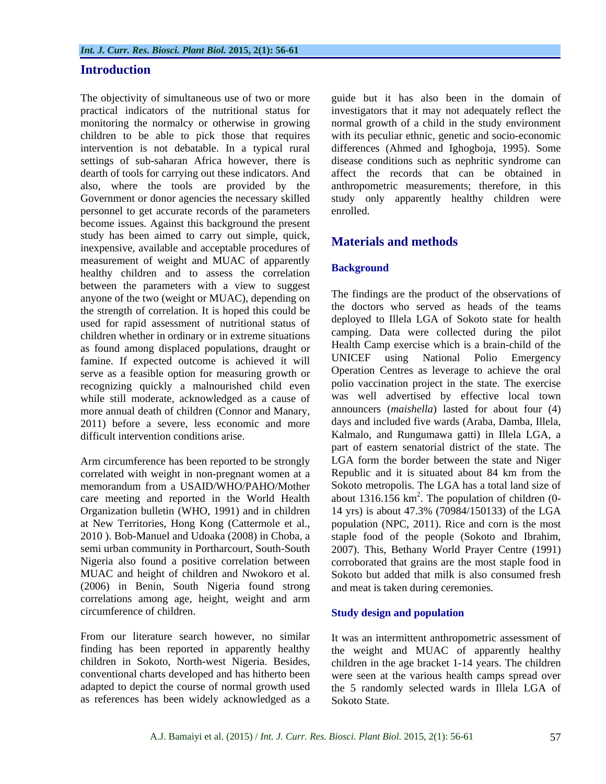## **Introduction**

personnel to get accurate records of the parameters become issues. Against this background the present study has been aimed to carry out simple, quick, inexpensive, available and acceptable procedures of measurement of weight and MUAC of apparently<br> **Background** healthy children and to assess the correlation between the parameters with a view to suggest anyone of the two (weight or MUAC), depending on the strength of correlation. It is hoped this could be used for rapid assessment of nutritional status of children whether in ordinary or in extreme situations as found among displaced populations, draught or Health Camp exercise which is a brain-child of the<br>famine If expected outcome is achieved it will UNICEF using National Polio Emergency famine. If expected outcome is achieved it will serve as a feasible option for measuring growth or recognizing quickly a malnourished child even while still moderate, acknowledged as a cause of more annual death of children (Connor and Manary, 2011) before a severe, less economic and more

Arm circumference has been reported to be strongly correlated with weight in non-pregnant women at a care meeting and reported in the World Health (2006) in Benin, South Nigeria found strong correlations among age, height, weight and arm circumference of children. Study design and population

From our literature search however, no similar It was an intermittent anthropometric assessment of as references has been widely acknowledged as a

The objectivity of simultaneous use of two or more guide but it has also been in the domain of practical indicators of the nutritional status for investigators that it may not adequately reflect the monitoring the normalcy or otherwise in growing normal growth of a child in the study environment children to be able to pick those that requires with its peculiar ethnic, genetic and socio-economic intervention is not debatable. In a typical rural differences (Ahmed and Ighogboja, 1995). Some settings of sub-saharan Africa however, there is disease conditions such as nephritic syndrome can dearth of tools for carrying out these indicators. And affect the records that can be obtained in also, where the tools are provided by the anthropometric measurements; therefore, in this Government or donor agencies the necessary skilled study only apparently healthy children were enrolled.

# **Materials and methods**

## **Background**

difficult intervention conditions arise. Kalmalo, and Rungumawa gatti) in Illela LGA, a memorandum from a USAID/WHO/PAHO/Mother Sokoto metropolis. The LGA has a total land size of Organization bulletin (WHO, 1991) and in children 14 yrs) is about 47.3% (70984/150133) of the LGA at New Territories, Hong Kong (Cattermole et al., population (NPC, 2011). Rice and corn is the most 2010 ). Bob-Manuel and Udoaka (2008) in Choba, a staple food of the people (Sokoto and Ibrahim, semi urban community in Portharcourt, South-South 2007). This, Bethany World Prayer Centre (1991) Nigeria also found a positive correlation between corroborated that grains are the most staple food in MUAC and height of children and Nwokoro et al. Sokoto but added that milk is also consumed fresh The findings are the product of the observations of the doctors who served as heads of the teams deployed to Illela LGA of Sokoto state for health camping. Data were collected during the pilot Health Camp exercise which is a brain-child of the UNICEF using National Polio Emergency Operation Centres as leverage to achieve the oral polio vaccination project in the state. The exercise was well advertised by effective local town announcers (*maishella*) lasted for about four (4) days and included five wards (Araba, Damba, Illela, part of eastern senatorial district of the state. The LGA form the border between the state and Niger Republic and it is situated about 84 km from the about 1316.156  $km^2$ . The population of children (0and meat is taken during ceremonies.

## **Study design and population**

finding has been reported in apparently healthy the weight and MUAC of apparently healthy children in Sokoto, North-west Nigeria. Besides, children in the age bracket 1-14 years. The children conventional charts developed and has hitherto been were seen at the various health camps spread over adapted to depict the course of normal growth used the 5 randomly selected wards in Illela LGA of Sokoto State.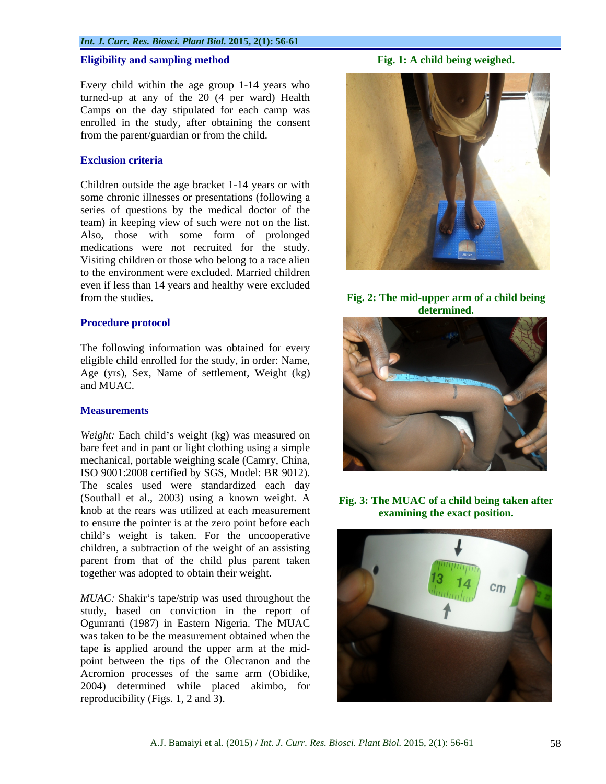## **Eligibility and sampling method Fig. 1: A child being weighed.**

Every child within the age group 1-14 years who turned-up at any of the 20 (4 per ward) Health Camps on the day stipulated for each camp was enrolled in the study, after obtaining the consent from the parent/guardian or from the child.

Children outside the age bracket 1-14 years or with some chronic illnesses or presentations (following a series of questions by the medical doctor of the team) in keeping view of such were not on the list. Also, those with some form of prolonged medications were not recruited for the study. Visiting children or those who belong to a race alien to the environment were excluded. Married children even if less than 14 years and healthy were excluded from the studies. **Fig. 2: The mid-upper arm of a child being** 

## **Procedure protocol**

The following information was obtained for every eligible child enrolled for the study, in order: Name, Age (yrs), Sex, Name of settlement, Weight (kg) and MUAC.

*Weight:* Each child's weight (kg) was measured on bare feet and in pant or light clothing using a simple mechanical, portable weighing scale (Camry, China, ISO 9001:2008 certified by SGS, Model: BR 9012). The scales used were standardized each day (Southall et al., 2003) using a known weight. A knob at the rears was utilized at each measurement to ensure the pointer is at the zero point before each child's weight is taken. For the uncooperative children, a subtraction of the weight of an assisting parent from that of the child plus parent taken together was adopted to obtain their weight.

*MUAC*: Shakir's tape/strip was used throughout the study, based on conviction in the report of Ogunranti (1987) in Eastern Nigeria. The MUAC was taken to be the measurement obtained when the tape is applied around the upper arm at the mid point between the tips of the Olecranon and the Acromion processes of the same arm (Obidike, 2004) determined while placed akimbo, for reproducibility (Figs. 1, 2 and 3).



# **determined.**



**Fig. 3: The MUAC of a child being taken after examining the exact position.**

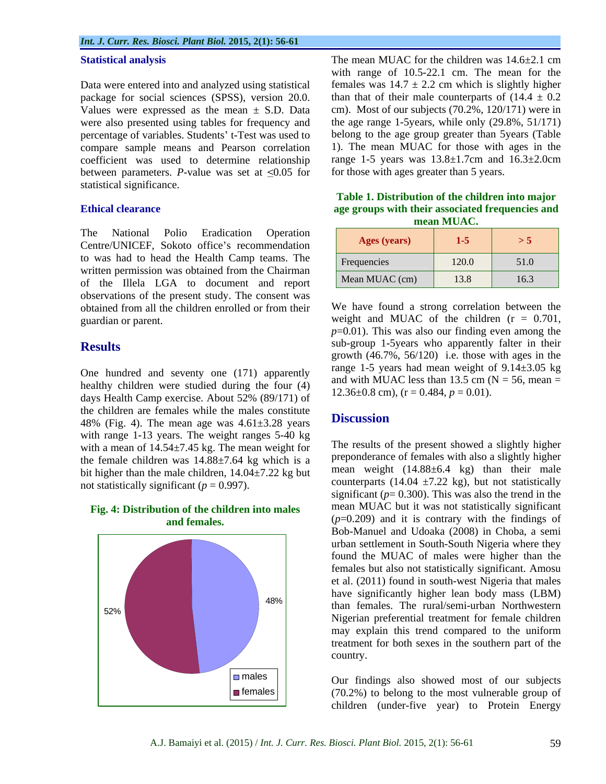### *Int. J. Curr. Res. Biosci. Plant Biol.* **2015, 2(1): 56-61**

package for social sciences (SPSS), version 20.0. Values were expressed as the mean  $\pm$  S.D. Data cm). Most of our subjects (70.2%, 120/171) were in were also presented using tables for frequency and percentage of variables. Students' t-Test was used to compare sample means and Pearson correlation coefficient was used to determine relationship between parameters. *P*-value was set at  $\leq 0.05$  for statistical significance.

The National Polio Eradication Operation | 1999, 1999, 1999, 1999, 1999, 1999, 1999, 1999, 1999, 199 Centre/UNICEF, Sokoto office's recommendation to was had to head the Health Camp teams. The written permission was obtained from the Chairman of the Illela LGA to document and report observations of the present study. The consent was obtained from all the children enrolled or from their

One hundred and seventy one (171) apparently healthy children were studied during the four (4) days Health Camp exercise. About 52% (89/171) of the children are females while the males constitute<br> $\frac{180}{120}$  (Fig. 4) The mass constant of 61.2.28 mass. **Discussion** 48% (Fig. 4). The mean age was  $4.61\pm3.28$  years with range 1-13 years. The weight ranges 5-40 kg with a mean of 14.54±7.45 kg. The mean weight for the female children was  $14.88 \pm 7.64$  kg which is a bit higher than the male children,  $14.04 \pm 7.22$  kg but not statistically significant ( $p = 0.997$ ).

# **Fig. 4: Distribution of the children into males**



**Statistical analysis** The mean MUAC for the children was 14.6 $\pm$ 2.1 cm Data were entered into and analyzed using statistical females was  $14.7 \pm 2.2$  cm which is slightly higher with range of 10.5-22.1 cm. The mean for the than that of their male counterparts of  $(14.4 \pm 0.2)$ the age range 1-5years, while only (29.8%, 51/171) belong to the age group greater than 5years (Table 1). The mean MUAC for those with ages in the range 1-5 years was  $13.8 \pm 1.7$ cm and  $16.3 \pm 2.0$ cm for those with ages greater than 5 years.

**Ethical clearance age groups with their associated frequencies and Table 1. Distribution of the children into major mean MUAC.**

guardian or parent. weight and MUAC of the children (r = 0.701, **Results** sub-group 1-5years who apparently falter in their sub-group 1-5years who apparently falter in their We have found a strong correlation between the  $p=0.01$ ). This was also our finding even among the growth  $(46.7\% \, 56/120)$  i.e. those with ages in the range 1-5 years had mean weight of  $9.14 \pm 3.05$  kg and with MUAC less than 13.5 cm ( $N = 56$ , mean = 12.36 $\pm$ 0.8 cm), (r = 0.484,  $p = 0.01$ ).

# **Discussion**

 $48\%$   $\left| \begin{array}{ccc} \text{the number of particles} & \text{the number of particles} \\ \text{the number of particles} & \text{the number of particles} \end{array} \right|$  $52\%$ **and females.**  $(p=0.209)$  and it is contrary with the findings of The results of the present showed a slightly higher preponderance of females with also a slightly higher mean weight  $(14.88\pm 6.4 \text{ kg})$  than their male counterparts (14.04  $\pm$ 7.22 kg), but not statistically significant  $(p= 0.300)$ . This was also the trend in the mean MUAC but it was not statistically significant Bob-Manuel and Udoaka (2008) in Choba, a semi urban settlement in South-South Nigeria where they found the MUAC of males were higher than the females but also not statistically significant. Amosu et al. (2011) found in south-west Nigeria that males have significantly higher lean body mass (LBM) than females. The rural/semi-urban Northwestern Nigerian preferential treatment for female children may explain this trend compared to the uniform treatment for both sexes in the southern part of the country.

males Our findings also showed most of our subjects females (70.2%) to belong to the most vulnerable group of children (under-five year) to Protein Energy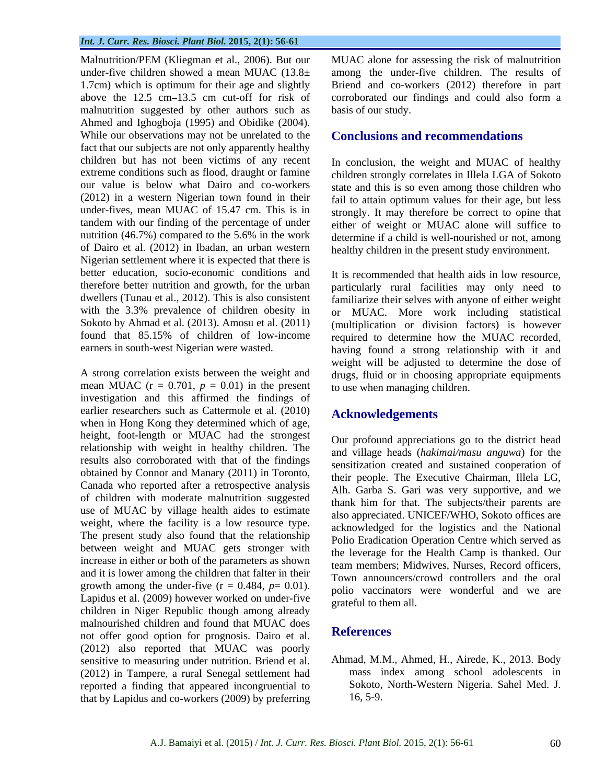malnutrition suggested by other authors such as Ahmed and Ighogboja (1995) and Obidike (2004). While our observations may not be unrelated to the fact that our subjects are not only apparently healthy children but has not been victims of any recent In conclusion, the weight and MUAC of healthy (2012) in a western Nigerian town found in their tandem with our finding of the percentage of under nutrition  $(46.7\%)$  compared to the 5.6% in the work Nigerian settlement where it is expected that there is better education, socio-economic conditions and It is recommended that health aids in low resource.

mean MUAC  $(r = 0.701, p = 0.01)$  in the present investigation and this affirmed the findings of earlier researchers such as Cattermole et al. (2010) Acknowledgements when in Hong Kong they determined which of age, height, foot-length or MUAC had the strongest relationship with weight in healthy children. The results also corroborated with that of the findings obtained by Connor and Manary (2011) in Toronto, Canada who reported after a retrospective analysis of children with moderate malnutrition suggested use of MUAC by village health aides to estimate weight, where the facility is a low resource type. The present study also found that the relationship between weight and MUAC gets stronger with increase in either or both of the parameters as shown and it is lower among the children that falter in their growth among the under-five  $(r = 0.484, p = 0.01)$ . Lapidus et al. (2009) however worked on under-five children in Niger Republic though among already malnourished children and found that MUAC does<br>not offer good option for prognosis. Deire at al. References not offer good option for prognosis. Dairo et al. (2012) also reported that MUAC was poorly sensitive to measuring under nutrition. Briend et al. (2012) in Tampere, a rural Senegal settlement had reported a finding that appeared incongruential to that by Lapidus and co-workers (2009) by preferring

Malnutrition/PEM (Kliegman et al., 2006). But our MUAC alone for assessing the risk of malnutrition under-five children showed a mean MUAC (13.8± among the under-five children. The results of 1.7cm) which is optimum for their age and slightly Briend and co-workers (2012) therefore in part above the 12.5 cm–13.5 cm cut-off for risk of corroborated our findings and could also form a basis of our study.

# **Conclusions and recommendations**

extreme conditions such as flood, draught or famine children strongly correlates in Illela LGA of Sokoto our value is below what Dairo and co-workers state and this is so even among those children who under-fives, mean MUAC of 15.47 cm. This is in strongly. It may therefore be correct to opine that of Dairo et al. (2012) in Ibadan, an urban western healthy children in the present study environment. fail to attain optimum values for their age, but less either of weight or MUAC alone will suffice to determine if a child is well-nourished or not, among

therefore better nutrition and growth, for the urban particularly rural facilities may only need to dwellers (Tunau et al., 2012). This is also consistent familiarize their selves with anyone of either weight with the 3.3% prevalence of children obesity in or MUAC. More work including statistical Sokoto by Ahmad et al. (2013). Amosu et al. (2011) (multiplication or division factors) is however found that 85.15% of children of low-income required to determine how the MUAC recorded, earners in south-west Nigerian were wasted. having found a strong relationship with it and A strong correlation exists between the weight and drugs, fluid or in choosing appropriate equipments It is recommended that health aids in low resource, weight will be adjusted to determine the dose of to use when managing children.

# **Acknowledgements**

Our profound appreciations go to the district head and village heads (*hakimai/masu anguwa*) for the sensitization created and sustained cooperation of their people. The Executive Chairman, Illela LG, Alh. Garba S. Gari was very supportive, and we thank him for that. The subjects/their parents are also appreciated. UNICEF/WHO, Sokoto offices are acknowledged for the logistics and the National Polio Eradication Operation Centre which served as the leverage for the Health Camp is thanked. Our team members; Midwives, Nurses, Record officers, Town announcers/crowd controllers and the oral polio vaccinators were wonderful and we are grateful to them all.

# **References**

Ahmad, M.M., Ahmed, H., Airede, K., 2013. Body mass index among school adolescents in Sokoto, North-Western Nigeria. Sahel Med. J. 16, 5-9.